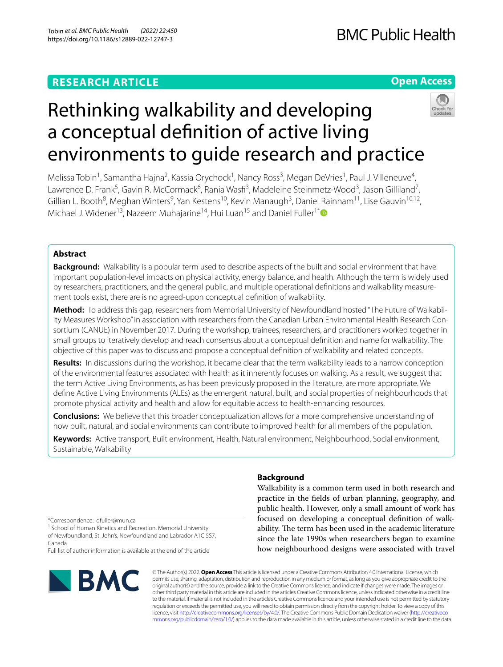# **RESEARCH ARTICLE**

# **Open Access**



# Rethinking walkability and developing a conceptual defnition of active living environments to guide research and practice

Melissa Tobin<sup>1</sup>, Samantha Hajna<sup>2</sup>, Kassia Orychock<sup>1</sup>, Nancy Ross<sup>3</sup>, Megan DeVries<sup>1</sup>, Paul J. Villeneuve<sup>4</sup>, Lawrence D. Frank<sup>5</sup>, Gavin R. McCormack<sup>6</sup>, Rania Wasfi<sup>3</sup>, Madeleine Steinmetz-Wood<sup>3</sup>, Jason Gilliland<sup>7</sup>, Gillian L. Booth<sup>8</sup>, Meghan Winters<sup>9</sup>, Yan Kestens<sup>10</sup>, Kevin Manaugh<sup>3</sup>, Daniel Rainham<sup>11</sup>, Lise Gauvin<sup>10,12</sup>, Michael J. Widener<sup>13</sup>, Nazeem Muhajarine<sup>14</sup>, Hui Luan<sup>15</sup> and Daniel Fuller<sup>1[\\*](http://orcid.org/0000-0002-2015-2955)</sup>

## **Abstract**

**Background:** Walkability is a popular term used to describe aspects of the built and social environment that have important population-level impacts on physical activity, energy balance, and health. Although the term is widely used by researchers, practitioners, and the general public, and multiple operational definitions and walkability measurement tools exist, there are is no agreed-upon conceptual defnition of walkability.

**Method:** To address this gap, researchers from Memorial University of Newfoundland hosted "The Future of Walkabil‑ ity Measures Workshop" in association with researchers from the Canadian Urban Environmental Health Research Consortium (CANUE) in November 2017. During the workshop, trainees, researchers, and practitioners worked together in small groups to iteratively develop and reach consensus about a conceptual defnition and name for walkability. The objective of this paper was to discuss and propose a conceptual defnition of walkability and related concepts.

**Results:** In discussions during the workshop, it became clear that the term walkability leads to a narrow conception of the environmental features associated with health as it inherently focuses on walking. As a result, we suggest that the term Active Living Environments, as has been previously proposed in the literature, are more appropriate. We defne Active Living Environments (ALEs) as the emergent natural, built, and social properties of neighbourhoods that promote physical activity and health and allow for equitable access to health-enhancing resources.

**Conclusions:** We believe that this broader conceptualization allows for a more comprehensive understanding of how built, natural, and social environments can contribute to improved health for all members of the population.

**Keywords:** Active transport, Built environment, Health, Natural environment, Neighbourhood, Social environment, Sustainable, Walkability

## **Background**

Walkability is a common term used in both research and practice in the felds of urban planning, geography, and public health. However, only a small amount of work has focused on developing a conceptual defnition of walkability. The term has been used in the academic literature since the late 1990s when researchers began to examine how neighbourhood designs were associated with travel

\*Correspondence: dfuller@mun.ca

<sup>1</sup> School of Human Kinetics and Recreation, Memorial University of Newfoundland, St. John's, Newfoundland and Labrador A1C 5S7, Canada

Full list of author information is available at the end of the article



© The Author(s) 2022. **Open Access** This article is licensed under a Creative Commons Attribution 4.0 International License, which permits use, sharing, adaptation, distribution and reproduction in any medium or format, as long as you give appropriate credit to the original author(s) and the source, provide a link to the Creative Commons licence, and indicate if changes were made. The images or other third party material in this article are included in the article's Creative Commons licence, unless indicated otherwise in a credit line to the material. If material is not included in the article's Creative Commons licence and your intended use is not permitted by statutory regulation or exceeds the permitted use, you will need to obtain permission directly from the copyright holder. To view a copy of this licence, visit [http://creativecommons.org/licenses/by/4.0/.](http://creativecommons.org/licenses/by/4.0/) The Creative Commons Public Domain Dedication waiver ([http://creativeco](http://creativecommons.org/publicdomain/zero/1.0/) [mmons.org/publicdomain/zero/1.0/](http://creativecommons.org/publicdomain/zero/1.0/)) applies to the data made available in this article, unless otherwise stated in a credit line to the data.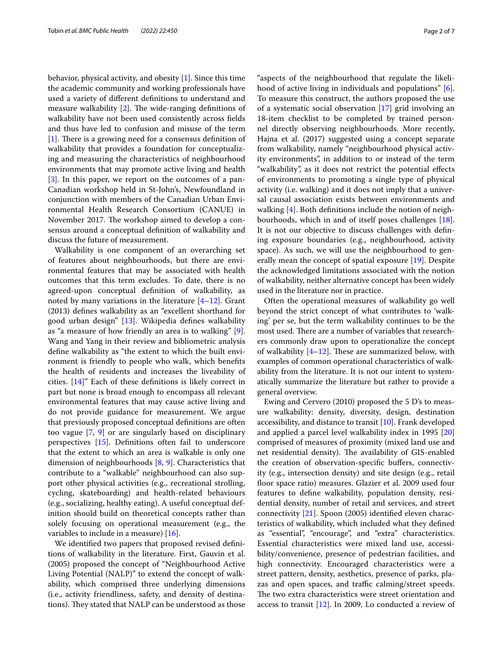behavior, physical activity, and obesity [[1\]](#page-6-0). Since this time the academic community and working professionals have used a variety of diferent defnitions to understand and measure walkability  $[2]$  $[2]$ . The wide-ranging definitions of walkability have not been used consistently across felds and thus have led to confusion and misuse of the term  $[1]$  $[1]$ . There is a growing need for a consensus definition of walkability that provides a foundation for conceptualizing and measuring the characteristics of neighbourhood environments that may promote active living and health [[3\]](#page-6-2). In this paper, we report on the outcomes of a pan-Canadian workshop held in St-John's, Newfoundland in conjunction with members of the Canadian Urban Environmental Health Research Consortium (CANUE) in November 2017. The workshop aimed to develop a consensus around a conceptual defnition of walkability and discuss the future of measurement.

Walkability is one component of an overarching set of features about neighbourhoods, but there are environmental features that may be associated with health outcomes that this term excludes. To date, there is no agreed-upon conceptual defnition of walkability, as noted by many variations in the literature  $[4-12]$  $[4-12]$  $[4-12]$ . Grant (2013) defnes walkability as an "excellent shorthand for good urban design" [\[13](#page-6-5)]. Wikipedia defnes walkability as "a measure of how friendly an area is to walking" [\[9](#page-6-6)]. Wang and Yang in their review and bibliometric analysis defne walkability as "the extent to which the built environment is friendly to people who walk, which benefts the health of residents and increases the liveability of cities. [\[14](#page-6-7)]" Each of these defnitions is likely correct in part but none is broad enough to encompass all relevant environmental features that may cause active living and do not provide guidance for measurement. We argue that previously proposed conceptual defnitions are often too vague [[7,](#page-6-8) [9\]](#page-6-6) or are singularly based on disciplinary perspectives [[15\]](#page-6-9). Defnitions often fail to underscore that the extent to which an area is walkable is only one dimension of neighbourhoods [[8,](#page-6-10) [9\]](#page-6-6). Characteristics that contribute to a "walkable" neighbourhood can also support other physical activities (e.g., recreational strolling, cycling, skateboarding) and health-related behaviours (e.g., socializing, healthy eating). A useful conceptual definition should build on theoretical concepts rather than solely focusing on operational measurement (e.g., the variables to include in a measure) [[16](#page-6-11)].

We identifed two papers that proposed revised defnitions of walkability in the literature. First, Gauvin et al. (2005) proposed the concept of "Neighbourhood Active Living Potential (NALP)" to extend the concept of walkability, which comprised three underlying dimensions (i.e., activity friendliness, safety, and density of destinations). They stated that NALP can be understood as those

"aspects of the neighbourhood that regulate the likelihood of active living in individuals and populations" [\[6](#page-6-12)]. To measure this construct, the authors proposed the use of a systematic social observation [\[17](#page-6-13)] grid involving an 18-item checklist to be completed by trained personnel directly observing neighbourhoods. More recently, Hajna et al. (2017) suggested using a concept separate from walkability, namely "neighbourhood physical activity environments", in addition to or instead of the term "walkability", as it does not restrict the potential efects of environments to promoting a single type of physical activity (i.e. walking) and it does not imply that a universal causal association exists between environments and walking [\[4](#page-6-3)]. Both definitions include the notion of neighbourhoods, which in and of itself poses challenges [\[18](#page-6-14)]. It is not our objective to discuss challenges with defning exposure boundaries (e.g., neighbourhood, activity space). As such, we will use the neighbourhood to generally mean the concept of spatial exposure [\[19](#page-6-15)]. Despite the acknowledged limitations associated with the notion of walkability, neither alternative concept has been widely used in the literature nor in practice.

Often the operational measures of walkability go well beyond the strict concept of what contributes to 'walking' per se, but the term walkability continues to be the most used. There are a number of variables that researchers commonly draw upon to operationalize the concept of walkability  $[4–12]$  $[4–12]$ . These are summarized below, with examples of common operational characteristics of walkability from the literature. It is not our intent to systematically summarize the literature but rather to provide a general overview.

Ewing and Cervero (2010) proposed the 5 D's to measure walkability: density, diversity, design, destination accessibility, and distance to transit [\[10](#page-6-16)]. Frank developed and applied a parcel level walkability index in 1995 [[20](#page-6-17)] comprised of measures of proximity (mixed land use and net residential density). The availability of GIS-enabled the creation of observation-specifc bufers, connectivity (e.g., intersection density) and site design (e.g., retail floor space ratio) measures. Glazier et al. 2009 used four features to defne walkability, population density, residential density, number of retail and services, and street connectivity [\[21](#page-6-18)]. Spoon (2005) identifed eleven characteristics of walkability, which included what they defned as "essential", "encourage", and "extra" characteristics. Essential characteristics were mixed land use, accessibility/convenience, presence of pedestrian facilities, and high connectivity. Encouraged characteristics were a street pattern, density, aesthetics, presence of parks, plazas and open spaces, and traffic calming/street speeds. The two extra characteristics were street orientation and access to transit [\[12](#page-6-4)]. In 2009, Lo conducted a review of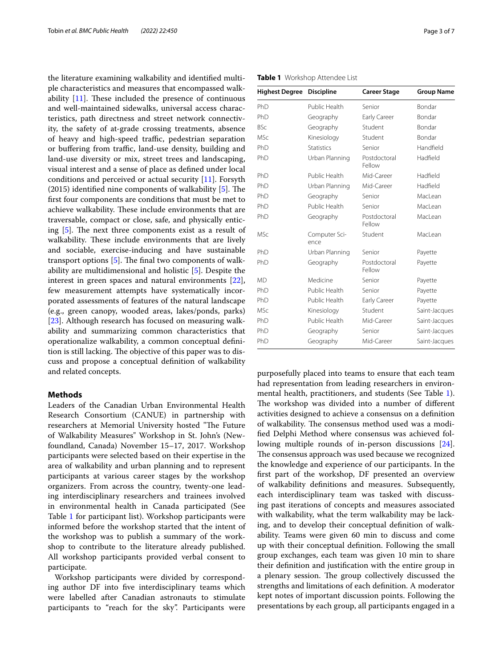the literature examining walkability and identifed multiple characteristics and measures that encompassed walkability  $[11]$  $[11]$ . These included the presence of continuous and well-maintained sidewalks, universal access characteristics, path directness and street network connectivity, the safety of at-grade crossing treatments, absence of heavy and high-speed traffic, pedestrian separation or buffering from traffic, land-use density, building and land-use diversity or mix, street trees and landscaping, visual interest and a sense of place as defned under local conditions and perceived or actual security [\[11](#page-6-19)]. Forsyth (2015) identified nine components of walkability  $[5]$  $[5]$ . The frst four components are conditions that must be met to achieve walkability. These include environments that are traversable, compact or close, safe, and physically enticing  $[5]$  $[5]$ . The next three components exist as a result of walkability. These include environments that are lively and sociable, exercise-inducing and have sustainable transport options  $[5]$  $[5]$ . The final two components of walkability are multidimensional and holistic [[5\]](#page-6-20). Despite the interest in green spaces and natural environments [\[22](#page-6-21)], few measurement attempts have systematically incorporated assessments of features of the natural landscape (e.g., green canopy, wooded areas, lakes/ponds, parks) [[23\]](#page-6-22). Although research has focused on measuring walkability and summarizing common characteristics that operationalize walkability, a common conceptual defnition is still lacking. The objective of this paper was to discuss and propose a conceptual defnition of walkability and related concepts.

## **Methods**

Leaders of the Canadian Urban Environmental Health Research Consortium (CANUE) in partnership with researchers at Memorial University hosted "The Future of Walkability Measures" Workshop in St. John's (Newfoundland, Canada) November 15–17, 2017. Workshop participants were selected based on their expertise in the area of walkability and urban planning and to represent participants at various career stages by the workshop organizers. From across the country, twenty-one leading interdisciplinary researchers and trainees involved in environmental health in Canada participated (See Table [1](#page-2-0) for participant list). Workshop participants were informed before the workshop started that the intent of the workshop was to publish a summary of the workshop to contribute to the literature already published. All workshop participants provided verbal consent to participate.

Workshop participants were divided by corresponding author DF into fve interdisciplinary teams which were labelled after Canadian astronauts to stimulate participants to "reach for the sky". Participants were

| <b>Highest Degree</b> | <b>Discipline</b>     | <b>Career Stage</b>    | <b>Group Name</b> |
|-----------------------|-----------------------|------------------------|-------------------|
| PhD                   | Public Health         | Senior                 | <b>Bondar</b>     |
| PhD                   | Geography             | Early Career           | <b>Bondar</b>     |
| <b>BSc</b>            | Geography             | Student                | <b>Bondar</b>     |
| <b>MSc</b>            | Kinesiology           | Student                | Bondar            |
| PhD                   | <b>Statistics</b>     | Senior                 | Handfield         |
| PhD                   | Urban Planning        | Postdoctoral<br>Fellow | Hadfield          |
| PhD                   | Public Health         | Mid-Career             | Hadfield          |
| PhD                   | Urban Planning        | Mid-Career             | Hadfield          |
| PhD                   | Geography             | Senior                 | MacLean           |
| PhD                   | Public Health         | Senior                 | Macl ean          |
| PhD                   | Geography             | Postdoctoral<br>Fellow | MacLean           |
| <b>MSc</b>            | Computer Sci-<br>ence | Student                | MacLean           |
| PhD                   | Urban Planning        | Senior                 | Payette           |
| PhD                   | Geography             | Postdoctoral<br>Fellow | Payette           |
| <b>MD</b>             | Medicine              | Senior                 | Payette           |
| PhD                   | Public Health         | Senior                 | Payette           |
| PhD                   | Public Health         | <b>Early Career</b>    | Payette           |
| MSc                   | Kinesiology           | Student                | Saint-Jacques     |
| PhD                   | Public Health         | Mid-Career             | Saint-Jacques     |
| PhD                   | Geography             | Senior                 | Saint-Jacques     |
| PhD                   | Geography             | Mid-Career             | Saint-Jacques     |

<span id="page-2-0"></span>**Table 1** Workshop Attendee List

purposefully placed into teams to ensure that each team had representation from leading researchers in environmental health, practitioners, and students (See Table [1](#page-2-0)). The workshop was divided into a number of different activities designed to achieve a consensus on a defnition of walkability. The consensus method used was a modifed Delphi Method where consensus was achieved following multiple rounds of in-person discussions [\[24](#page-6-23)]. The consensus approach was used because we recognized the knowledge and experience of our participants. In the frst part of the workshop, DF presented an overview of walkability defnitions and measures. Subsequently, each interdisciplinary team was tasked with discussing past iterations of concepts and measures associated with walkability, what the term walkability may be lacking, and to develop their conceptual defnition of walkability. Teams were given 60 min to discuss and come up with their conceptual defnition. Following the small group exchanges, each team was given 10 min to share their defnition and justifcation with the entire group in a plenary session. The group collectively discussed the strengths and limitations of each defnition. A moderator kept notes of important discussion points. Following the presentations by each group, all participants engaged in a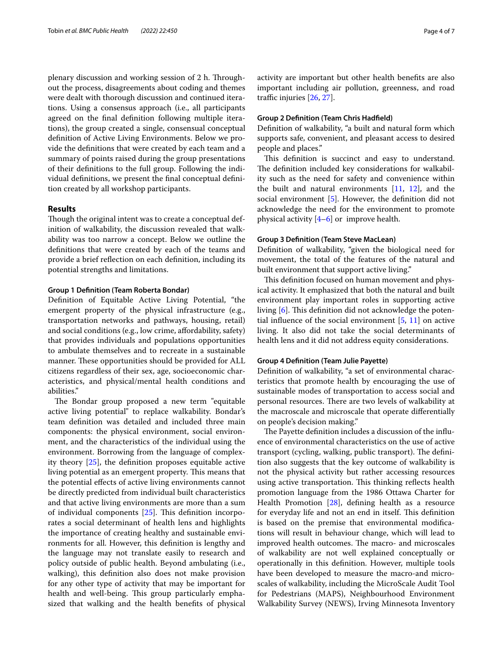plenary discussion and working session of 2 h. Throughout the process, disagreements about coding and themes were dealt with thorough discussion and continued iterations. Using a consensus approach (i.e., all participants agreed on the fnal defnition following multiple iterations), the group created a single, consensual conceptual defnition of Active Living Environments. Below we provide the defnitions that were created by each team and a summary of points raised during the group presentations of their defnitions to the full group. Following the individual defnitions, we present the fnal conceptual defnition created by all workshop participants.

## **Results**

Though the original intent was to create a conceptual definition of walkability, the discussion revealed that walkability was too narrow a concept. Below we outline the defnitions that were created by each of the teams and provide a brief refection on each defnition, including its potential strengths and limitations.

## **Group 1 Defnition (Team Roberta Bondar)**

Defnition of Equitable Active Living Potential, "the emergent property of the physical infrastructure (e.g., transportation networks and pathways, housing, retail) and social conditions (e.g., low crime, afordability, safety) that provides individuals and populations opportunities to ambulate themselves and to recreate in a sustainable manner. These opportunities should be provided for ALL citizens regardless of their sex, age, socioeconomic characteristics, and physical/mental health conditions and abilities."

The Bondar group proposed a new term "equitable active living potential" to replace walkability. Bondar's team defnition was detailed and included three main components: the physical environment, social environment, and the characteristics of the individual using the environment. Borrowing from the language of complexity theory [[25\]](#page-6-24), the defnition proposes equitable active living potential as an emergent property. This means that the potential efects of active living environments cannot be directly predicted from individual built characteristics and that active living environments are more than a sum of individual components  $[25]$ . This definition incorporates a social determinant of health lens and highlights the importance of creating healthy and sustainable environments for all. However, this defnition is lengthy and the language may not translate easily to research and policy outside of public health. Beyond ambulating (i.e., walking), this defnition also does not make provision for any other type of activity that may be important for health and well-being. This group particularly emphasized that walking and the health benefts of physical activity are important but other health benefts are also important including air pollution, greenness, and road traffic injuries  $[26, 27]$  $[26, 27]$  $[26, 27]$  $[26, 27]$ .

## **Group 2 Defnition (Team Chris Hadfeld)**

Defnition of walkability, "a built and natural form which supports safe, convenient, and pleasant access to desired people and places."

This definition is succinct and easy to understand. The definition included key considerations for walkability such as the need for safety and convenience within the built and natural environments  $[11, 12]$  $[11, 12]$  $[11, 12]$  $[11, 12]$ , and the social environment [\[5](#page-6-20)]. However, the definition did not acknowledge the need for the environment to promote physical activity  $[4-6]$  $[4-6]$  or improve health.

## **Group 3 Defnition (Team Steve MacLean)**

Defnition of walkability, "given the biological need for movement, the total of the features of the natural and built environment that support active living."

This definition focused on human movement and physical activity. It emphasized that both the natural and built environment play important roles in supporting active living  $[6]$  $[6]$ . This definition did not acknowledge the potential influence of the social environment  $[5, 11]$  $[5, 11]$  $[5, 11]$  on active living. It also did not take the social determinants of health lens and it did not address equity considerations.

## **Group 4 Defnition (Team Julie Payette)**

Defnition of walkability, "a set of environmental characteristics that promote health by encouraging the use of sustainable modes of transportation to access social and personal resources. There are two levels of walkability at the macroscale and microscale that operate diferentially on people's decision making."

The Payette definition includes a discussion of the influence of environmental characteristics on the use of active transport (cycling, walking, public transport). The definition also suggests that the key outcome of walkability is not the physical activity but rather accessing resources using active transportation. This thinking reflects health promotion language from the 1986 Ottawa Charter for Health Promotion [\[28](#page-6-27)], defning health as a resource for everyday life and not an end in itself. This definition is based on the premise that environmental modifcations will result in behaviour change, which will lead to improved health outcomes. The macro- and microscales of walkability are not well explained conceptually or operationally in this defnition. However, multiple tools have been developed to measure the macro-and microscales of walkability, including the MicroScale Audit Tool for Pedestrians (MAPS), Neighbourhood Environment Walkability Survey (NEWS), Irving Minnesota Inventory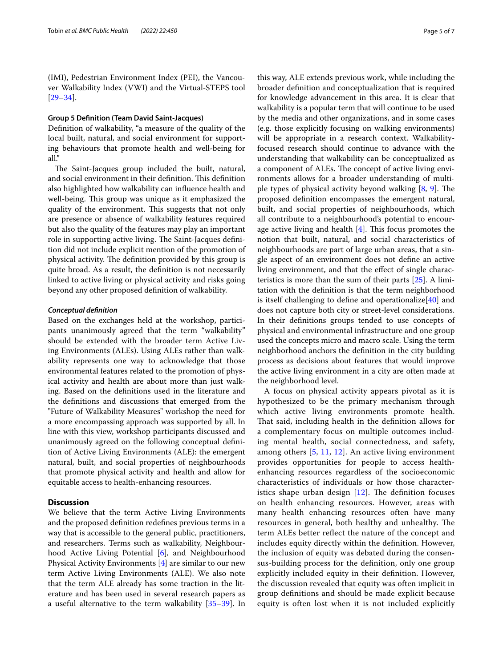(IMI), Pedestrian Environment Index (PEI), the Vancouver Walkability Index (VWI) and the Virtual-STEPS tool [[29–](#page-6-28)[34](#page-6-29)].

## **Group 5 Defnition (Team David Saint‑Jacques)**

Defnition of walkability, "a measure of the quality of the local built, natural, and social environment for supporting behaviours that promote health and well-being for all."

The Saint-Jacques group included the built, natural, and social environment in their definition. This definition also highlighted how walkability can infuence health and well-being. This group was unique as it emphasized the quality of the environment. This suggests that not only are presence or absence of walkability features required but also the quality of the features may play an important role in supporting active living. The Saint-Jacques definition did not include explicit mention of the promotion of physical activity. The definition provided by this group is quite broad. As a result, the defnition is not necessarily linked to active living or physical activity and risks going beyond any other proposed defnition of walkability.

## *Conceptual defnition*

Based on the exchanges held at the workshop, participants unanimously agreed that the term "walkability" should be extended with the broader term Active Living Environments (ALEs). Using ALEs rather than walkability represents one way to acknowledge that those environmental features related to the promotion of physical activity and health are about more than just walking. Based on the defnitions used in the literature and the defnitions and discussions that emerged from the "Future of Walkability Measures" workshop the need for a more encompassing approach was supported by all. In line with this view, workshop participants discussed and unanimously agreed on the following conceptual defnition of Active Living Environments (ALE): the emergent natural, built, and social properties of neighbourhoods that promote physical activity and health and allow for equitable access to health-enhancing resources.

## **Discussion**

We believe that the term Active Living Environments and the proposed defnition redefnes previous terms in a way that is accessible to the general public, practitioners, and researchers. Terms such as walkability, Neighbourhood Active Living Potential [[6](#page-6-12)], and Neighbourhood Physical Activity Environments [\[4](#page-6-3)] are similar to our new term Active Living Environments (ALE). We also note that the term ALE already has some traction in the literature and has been used in several research papers as a useful alternative to the term walkability [[35](#page-6-30)[–39](#page-6-31)]. In this way, ALE extends previous work, while including the broader defnition and conceptualization that is required for knowledge advancement in this area. It is clear that walkability is a popular term that will continue to be used by the media and other organizations, and in some cases (e.g. those explicitly focusing on walking environments) will be appropriate in a research context. Walkabilityfocused research should continue to advance with the understanding that walkability can be conceptualized as a component of ALEs. The concept of active living environments allows for a broader understanding of multiple types of physical activity beyond walking  $[8, 9]$  $[8, 9]$  $[8, 9]$  $[8, 9]$  $[8, 9]$ . The proposed defnition encompasses the emergent natural, built, and social properties of neighbourhoods, which all contribute to a neighbourhood's potential to encourage active living and health  $[4]$  $[4]$ . This focus promotes the notion that built, natural, and social characteristics of neighbourhoods are part of large urban areas, that a single aspect of an environment does not defne an active living environment, and that the efect of single characteristics is more than the sum of their parts [\[25\]](#page-6-24). A limitation with the defnition is that the term neighborhood is itself challenging to define and operationalize $[40]$  and does not capture both city or street-level considerations. In their defnitions groups tended to use concepts of physical and environmental infrastructure and one group used the concepts micro and macro scale. Using the term neighborhood anchors the defnition in the city building process as decisions about features that would improve the active living environment in a city are often made at the neighborhood level.

A focus on physical activity appears pivotal as it is hypothesized to be the primary mechanism through which active living environments promote health. That said, including health in the definition allows for a complementary focus on multiple outcomes including mental health, social connectedness, and safety, among others [\[5,](#page-6-20) [11](#page-6-19), [12\]](#page-6-4). An active living environment provides opportunities for people to access healthenhancing resources regardless of the socioeconomic characteristics of individuals or how those characteristics shape urban design  $[12]$  $[12]$ . The definition focuses on health enhancing resources. However, areas with many health enhancing resources often have many resources in general, both healthy and unhealthy. The term ALEs better refect the nature of the concept and includes equity directly within the defnition. However, the inclusion of equity was debated during the consensus-building process for the defnition, only one group explicitly included equity in their defnition. However, the discussion revealed that equity was often implicit in group defnitions and should be made explicit because equity is often lost when it is not included explicitly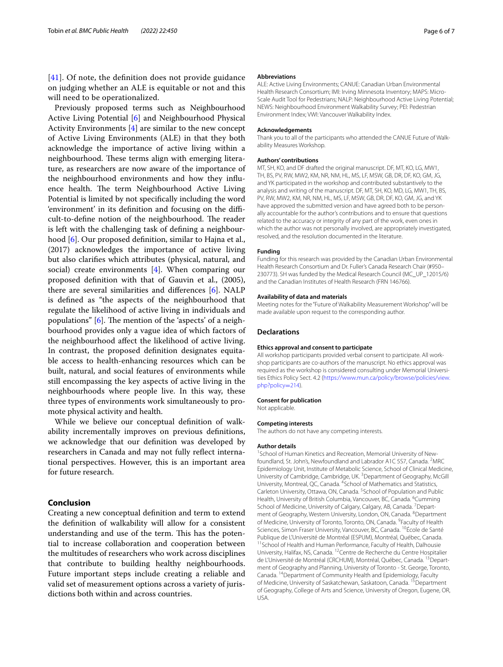[[41](#page-6-33)]. Of note, the definition does not provide guidance on judging whether an ALE is equitable or not and this will need to be operationalized.

Previously proposed terms such as Neighbourhood Active Living Potential [\[6](#page-6-12)] and Neighbourhood Physical Activity Environments [\[4](#page-6-3)] are similar to the new concept of Active Living Environments (ALE) in that they both acknowledge the importance of active living within a neighbourhood. These terms align with emerging literature, as researchers are now aware of the importance of the neighbourhood environments and how they infuence health. The term Neighbourhood Active Living Potential is limited by not specifcally including the word 'environment' in its definition and focusing on the difficult-to-define notion of the neighbourhood. The reader is left with the challenging task of defning a neighbourhood [[6](#page-6-12)]. Our proposed defnition, similar to Hajna et al., (2017) acknowledges the importance of active living but also clarifes which attributes (physical, natural, and social) create environments [\[4](#page-6-3)]. When comparing our proposed defnition with that of Gauvin et al., (2005), there are several similarities and diferences [[6](#page-6-12)]. NALP is defned as "the aspects of the neighbourhood that regulate the likelihood of active living in individuals and populations"  $[6]$  $[6]$ . The mention of the 'aspects' of a neighbourhood provides only a vague idea of which factors of the neighbourhood afect the likelihood of active living. In contrast, the proposed defnition designates equitable access to health-enhancing resources which can be built, natural, and social features of environments while still encompassing the key aspects of active living in the neighbourhoods where people live. In this way, these three types of environments work simultaneously to promote physical activity and health.

While we believe our conceptual defnition of walkability incrementally improves on previous defnitions, we acknowledge that our defnition was developed by researchers in Canada and may not fully refect international perspectives. However, this is an important area for future research.

## **Conclusion**

Creating a new conceptual defnition and term to extend the defnition of walkability will allow for a consistent understanding and use of the term. This has the potential to increase collaboration and cooperation between the multitudes of researchers who work across disciplines that contribute to building healthy neighbourhoods. Future important steps include creating a reliable and valid set of measurement options across a variety of jurisdictions both within and across countries.

## **Abbreviations**

ALE: Active Living Environments; CANUE: Canadian Urban Environmental Health Research Consortium; IMI: Irving Minnesota Inventory; MAPS: Micro-Scale Audit Tool for Pedestrians; NALP: Neighbourhood Active Living Potential; NEWS: Neighbourhood Environment Walkability Survey; PEI: Pedestrian Environment Index; VWI: Vancouver Walkability Index.

#### **Acknowledgements**

Thank you to all of the participants who attended the CANUE Future of Walkability Measures Workshop.

## **Authors' contributions**

MT, SH, KO, and DF drafted the original manuscript. DF, MT, KO, LG, MW1, TH, BS, PV, RW, MW2, KM, NR, NM, HL, MS, LF, MSW, GB, DR, DF, KO, GM, JG, and YK participated in the workshop and contributed substantively to the analysis and writing of the manuscript. DF, MT, SH, KO, MD, LG, MW1, TH, BS, PV, RW, MW2, KM, NR, NM, HL, MS, LF, MSW, GB, DR, DF, KO, GM, JG, and YK have approved the submitted version and have agreed both to be personally accountable for the author's contributions and to ensure that questions related to the accuracy or integrity of any part of the work, even ones in which the author was not personally involved, are appropriately investigated, resolved, and the resolution documented in the literature.

## **Funding**

Funding for this research was provided by the Canadian Urban Environmental Health Research Consortium and Dr. Fuller's Canada Research Chair (#950– 230773). SH was funded by the Medical Research Council (MC\_UP\_12015/6) and the Canadian Institutes of Health Research (FRN 146766).

#### **Availability of data and materials**

Meeting notes for the "Future of Walkability Measurement Workshop" will be made available upon request to the corresponding author.

#### **Declarations**

## **Ethics approval and consent to participate**

All workshop participants provided verbal consent to participate. All workshop participants are co-authors of the manuscript. No ethics approval was required as the workshop is considered consulting under Memorial Universities Ethics Policy Sect. 4.2 [\(https://www.mun.ca/policy/browse/policies/view.](https://www.mun.ca/policy/browse/policies/view.php?policy=214) [php?policy](https://www.mun.ca/policy/browse/policies/view.php?policy=214)=214).

#### **Consent for publication**

Not applicable.

#### **Competing interests**

The authors do not have any competing interests.

#### **Author details**

<sup>1</sup> School of Human Kinetics and Recreation, Memorial University of Newfoundland, St. John's, Newfoundland and Labrador A1C 5S7, Canada. <sup>2</sup>MRC Epidemiology Unit, Institute of Metabolic Science, School of Clinical Medicine, University of Cambridge, Cambridge, UK.<sup>3</sup> Department of Geography, McGill University, Montreal, QC, Canada. <sup>4</sup> School of Mathematics and Statistics, Carleton University, Ottawa, ON, Canada. <sup>5</sup>School of Population and Public Health, University of British Columbia, Vancouver, BC, Canada. <sup>6</sup>Cumming School of Medicine, University of Calgary, Calgary, AB, Canada. <sup>7</sup> Department of Geography, Western University, London, ON, Canada. <sup>8</sup> Department of Medicine, University of Toronto, Toronto, ON, Canada. <sup>9</sup> Faculty of Health Sciences, Simon Fraser University, Vancouver, BC, Canada. 10École de Santé Publique de L'Université de Montréal (ESPUM), Montréal, Québec, Canada. <sup>11</sup> School of Health and Human Performance, Faculty of Health, Dalhousie University, Halifax, NS, Canada. 12Centre de Recherche du Centre Hospitalier de L'Université de Montréal (CRCHUM), Montréal, Québec, Canada. <sup>13</sup> Department of Geography and Planning, University of Toronto - St. George, Toronto, Canada. 14Department of Community Health and Epidemiology, Faculty of Medicine, University of Saskatchewan, Saskatoon, Canada. <sup>15</sup> Department of Geography, College of Arts and Science, University of Oregon, Eugene, OR, USA.